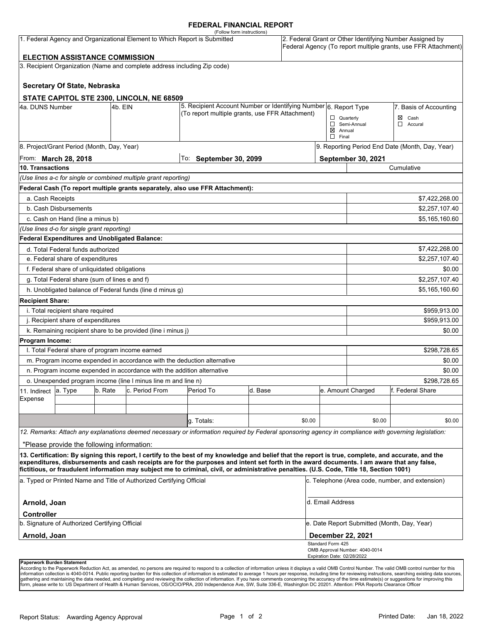## **FEDERAL FINANCIAL REPORT**

|                                                                                                                                                                                                                   |                                                 |         |                                                                        | (Follow form instructions)                                                                                                                           |         |                                                 |                                    |                                             |                                                                                                                            |        |
|-------------------------------------------------------------------------------------------------------------------------------------------------------------------------------------------------------------------|-------------------------------------------------|---------|------------------------------------------------------------------------|------------------------------------------------------------------------------------------------------------------------------------------------------|---------|-------------------------------------------------|------------------------------------|---------------------------------------------|----------------------------------------------------------------------------------------------------------------------------|--------|
|                                                                                                                                                                                                                   |                                                 |         |                                                                        | 1. Federal Agency and Organizational Element to Which Report is Submitted                                                                            |         |                                                 |                                    |                                             | 2. Federal Grant or Other Identifying Number Assigned by<br>Federal Agency (To report multiple grants, use FFR Attachment) |        |
|                                                                                                                                                                                                                   | <b>ELECTION ASSISTANCE COMMISSION</b>           |         |                                                                        |                                                                                                                                                      |         |                                                 |                                    |                                             |                                                                                                                            |        |
|                                                                                                                                                                                                                   |                                                 |         |                                                                        | 3. Recipient Organization (Name and complete address including Zip code)                                                                             |         |                                                 |                                    |                                             |                                                                                                                            |        |
|                                                                                                                                                                                                                   |                                                 |         |                                                                        |                                                                                                                                                      |         |                                                 |                                    |                                             |                                                                                                                            |        |
|                                                                                                                                                                                                                   | Secretary Of State, Nebraska                    |         |                                                                        |                                                                                                                                                      |         |                                                 |                                    |                                             |                                                                                                                            |        |
|                                                                                                                                                                                                                   |                                                 |         | STATE CAPITOL STE 2300, LINCOLN, NE 68509                              |                                                                                                                                                      |         |                                                 |                                    |                                             |                                                                                                                            |        |
| 4a. DUNS Number                                                                                                                                                                                                   |                                                 | 4b. EIN |                                                                        | 5. Recipient Account Number or Identifying Number 6. Report Type                                                                                     |         |                                                 |                                    |                                             | 7. Basis of Accounting                                                                                                     |        |
|                                                                                                                                                                                                                   |                                                 |         |                                                                        | (To report multiple grants, use FFR Attachment)                                                                                                      |         |                                                 | $\Box$ Quarterly                   |                                             | Cash<br>⊠                                                                                                                  |        |
|                                                                                                                                                                                                                   |                                                 |         |                                                                        |                                                                                                                                                      |         |                                                 |                                    | Semi-Annual                                 | $\Box$<br>Accural                                                                                                          |        |
|                                                                                                                                                                                                                   |                                                 |         |                                                                        |                                                                                                                                                      |         |                                                 | $\boxtimes$ Annual<br>$\Box$ Final |                                             |                                                                                                                            |        |
|                                                                                                                                                                                                                   | 8. Project/Grant Period (Month, Day, Year)      |         |                                                                        |                                                                                                                                                      |         |                                                 |                                    |                                             | 9. Reporting Period End Date (Month, Day, Year)                                                                            |        |
|                                                                                                                                                                                                                   | From: March 28, 2018                            |         |                                                                        | To: September 30, 2099                                                                                                                               |         |                                                 |                                    | September 30, 2021                          |                                                                                                                            |        |
| <b>10. Transactions</b>                                                                                                                                                                                           |                                                 |         |                                                                        |                                                                                                                                                      |         |                                                 |                                    |                                             | Cumulative                                                                                                                 |        |
|                                                                                                                                                                                                                   |                                                 |         | (Use lines a-c for single or combined multiple grant reporting)        |                                                                                                                                                      |         |                                                 |                                    |                                             |                                                                                                                            |        |
|                                                                                                                                                                                                                   |                                                 |         |                                                                        | Federal Cash (To report multiple grants separately, also use FFR Attachment):                                                                        |         |                                                 |                                    |                                             |                                                                                                                            |        |
| a. Cash Receipts                                                                                                                                                                                                  |                                                 |         |                                                                        |                                                                                                                                                      |         |                                                 |                                    |                                             | \$7,422,268.00                                                                                                             |        |
|                                                                                                                                                                                                                   | b. Cash Disbursements                           |         |                                                                        |                                                                                                                                                      |         |                                                 |                                    |                                             | \$2,257,107.40                                                                                                             |        |
|                                                                                                                                                                                                                   | c. Cash on Hand (line a minus b)                |         |                                                                        |                                                                                                                                                      |         |                                                 |                                    |                                             | \$5,165,160.60                                                                                                             |        |
|                                                                                                                                                                                                                   | (Use lines d-o for single grant reporting)      |         |                                                                        |                                                                                                                                                      |         |                                                 |                                    |                                             |                                                                                                                            |        |
|                                                                                                                                                                                                                   | Federal Expenditures and Unobligated Balance:   |         |                                                                        |                                                                                                                                                      |         |                                                 |                                    |                                             |                                                                                                                            |        |
|                                                                                                                                                                                                                   | d. Total Federal funds authorized               |         |                                                                        |                                                                                                                                                      |         |                                                 |                                    |                                             | \$7,422,268.00                                                                                                             |        |
|                                                                                                                                                                                                                   | e. Federal share of expenditures                |         |                                                                        |                                                                                                                                                      |         |                                                 |                                    |                                             | \$2,257,107.40                                                                                                             |        |
|                                                                                                                                                                                                                   | f. Federal share of unliquidated obligations    |         |                                                                        |                                                                                                                                                      |         |                                                 |                                    |                                             |                                                                                                                            | \$0.00 |
|                                                                                                                                                                                                                   | g. Total Federal share (sum of lines e and f)   |         |                                                                        |                                                                                                                                                      |         |                                                 |                                    |                                             | \$2,257,107.40                                                                                                             |        |
|                                                                                                                                                                                                                   |                                                 |         | h. Unobligated balance of Federal funds (line d minus g)               |                                                                                                                                                      |         |                                                 |                                    |                                             | \$5,165,160.60                                                                                                             |        |
| <b>Recipient Share:</b>                                                                                                                                                                                           |                                                 |         |                                                                        |                                                                                                                                                      |         |                                                 |                                    |                                             |                                                                                                                            |        |
|                                                                                                                                                                                                                   | i. Total recipient share required               |         |                                                                        |                                                                                                                                                      |         |                                                 |                                    |                                             | \$959,913.00                                                                                                               |        |
|                                                                                                                                                                                                                   | j. Recipient share of expenditures              |         |                                                                        |                                                                                                                                                      |         |                                                 |                                    |                                             | \$959,913.00                                                                                                               |        |
|                                                                                                                                                                                                                   |                                                 |         | k. Remaining recipient share to be provided (line i minus j)           |                                                                                                                                                      |         |                                                 |                                    |                                             |                                                                                                                            | \$0.00 |
| <b>Program Income:</b>                                                                                                                                                                                            |                                                 |         |                                                                        |                                                                                                                                                      |         |                                                 |                                    |                                             |                                                                                                                            |        |
|                                                                                                                                                                                                                   | I. Total Federal share of program income earned |         |                                                                        |                                                                                                                                                      |         |                                                 |                                    |                                             | \$298.728.65                                                                                                               |        |
|                                                                                                                                                                                                                   |                                                 |         |                                                                        | m. Program income expended in accordance with the deduction alternative                                                                              |         |                                                 |                                    |                                             |                                                                                                                            | \$0.00 |
|                                                                                                                                                                                                                   |                                                 |         | n. Program income expended in accordance with the addition alternative |                                                                                                                                                      |         |                                                 |                                    |                                             |                                                                                                                            | \$0.00 |
|                                                                                                                                                                                                                   |                                                 |         | o. Unexpended program income (line I minus line m and line n)          |                                                                                                                                                      |         |                                                 |                                    |                                             | \$298,728.65                                                                                                               |        |
| 11. Indirect                                                                                                                                                                                                      | a. Type                                         | b. Rate | c. Period From                                                         | Period To                                                                                                                                            | d. Base |                                                 |                                    | e. Amount Charged                           | f. Federal Share                                                                                                           |        |
| Expense                                                                                                                                                                                                           |                                                 |         |                                                                        |                                                                                                                                                      |         |                                                 |                                    |                                             |                                                                                                                            |        |
|                                                                                                                                                                                                                   |                                                 |         |                                                                        |                                                                                                                                                      |         |                                                 |                                    |                                             |                                                                                                                            |        |
|                                                                                                                                                                                                                   |                                                 |         |                                                                        | q. Totals:                                                                                                                                           |         | \$0.00                                          |                                    | \$0.00                                      |                                                                                                                            | \$0.00 |
|                                                                                                                                                                                                                   |                                                 |         |                                                                        | 12. Remarks: Attach any explanations deemed necessary or information required by Federal sponsoring agency in compliance with governing legislation: |         |                                                 |                                    |                                             |                                                                                                                            |        |
|                                                                                                                                                                                                                   | "Please provide the following information:      |         |                                                                        |                                                                                                                                                      |         |                                                 |                                    |                                             |                                                                                                                            |        |
|                                                                                                                                                                                                                   |                                                 |         |                                                                        | 13. Certification: By signing this report, I certify to the best of my knowledge and belief that the report is true, complete, and accurate, and the |         |                                                 |                                    |                                             |                                                                                                                            |        |
|                                                                                                                                                                                                                   |                                                 |         |                                                                        | expenditures, disbursements and cash receipts are for the purposes and intent set forth in the award documents. I am aware that any false,           |         |                                                 |                                    |                                             |                                                                                                                            |        |
| fictitious, or fraudulent information may subject me to criminal, civil, or administrative penalties. (U.S. Code, Title 18, Section 1001)<br>a. Typed or Printed Name and Title of Authorized Certifying Official |                                                 |         |                                                                        |                                                                                                                                                      |         | c. Telephone (Area code, number, and extension) |                                    |                                             |                                                                                                                            |        |
| Arnold, Joan                                                                                                                                                                                                      |                                                 |         |                                                                        |                                                                                                                                                      |         |                                                 | d. Email Address                   |                                             |                                                                                                                            |        |
| <b>Controller</b>                                                                                                                                                                                                 |                                                 |         |                                                                        |                                                                                                                                                      |         |                                                 |                                    |                                             |                                                                                                                            |        |
|                                                                                                                                                                                                                   | b. Signature of Authorized Certifying Official  |         |                                                                        |                                                                                                                                                      |         |                                                 | December 22, 2021                  | e. Date Report Submitted (Month, Day, Year) |                                                                                                                            |        |
| Arnold, Joan                                                                                                                                                                                                      |                                                 |         |                                                                        |                                                                                                                                                      |         |                                                 | Standard Form 425                  |                                             |                                                                                                                            |        |
|                                                                                                                                                                                                                   |                                                 |         |                                                                        |                                                                                                                                                      |         |                                                 |                                    | OMB Approval Number: 4040-0014              |                                                                                                                            |        |
| <b>Dononuork Durdon Ctotomont</b>                                                                                                                                                                                 |                                                 |         |                                                                        |                                                                                                                                                      |         |                                                 | Expiration Date: 02/28/2022        |                                             |                                                                                                                            |        |

**Paperwork Burden Statement**<br>According to the Paperwork Reduction Act, as amended, no persons are required to respond to a collection of information unless it displays a valid OMB Control Number. The valid OMB control numb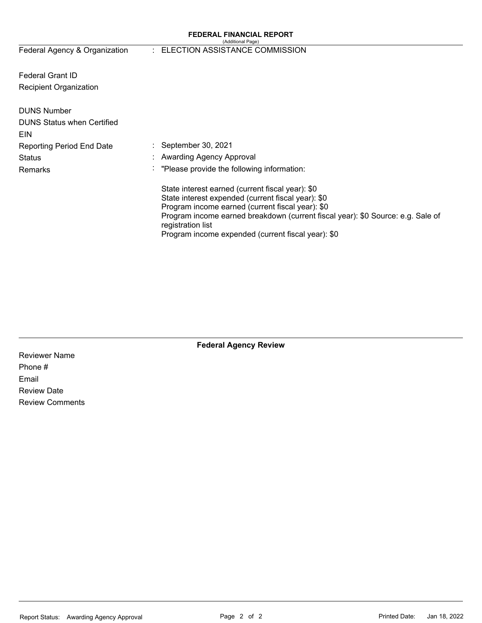#### **FEDERAL FINANCIAL REPORT**  (Additional Page)

Federal Agency & Organization

## : ELECTION ASSISTANCE COMMISSION

Federal Grant ID Recipient Organization

| <b>DUNS Number</b><br><b>DUNS Status when Certified</b><br>EIN |                                                                                                                                                                                                                                                                                                                          |
|----------------------------------------------------------------|--------------------------------------------------------------------------------------------------------------------------------------------------------------------------------------------------------------------------------------------------------------------------------------------------------------------------|
| <b>Reporting Period End Date</b>                               | $\therefore$ September 30, 2021                                                                                                                                                                                                                                                                                          |
| <b>Status</b>                                                  | : Awarding Agency Approval                                                                                                                                                                                                                                                                                               |
| Remarks                                                        | "Please provide the following information:                                                                                                                                                                                                                                                                               |
|                                                                | State interest earned (current fiscal year): \$0<br>State interest expended (current fiscal year): \$0<br>Program income earned (current fiscal year): \$0<br>Program income earned breakdown (current fiscal year): \$0 Source: e.g. Sale of<br>registration list<br>Program income expended (current fiscal year): \$0 |

**Federal Agency Review** 

Reviewer Name Phone # Email Review Date Review Comments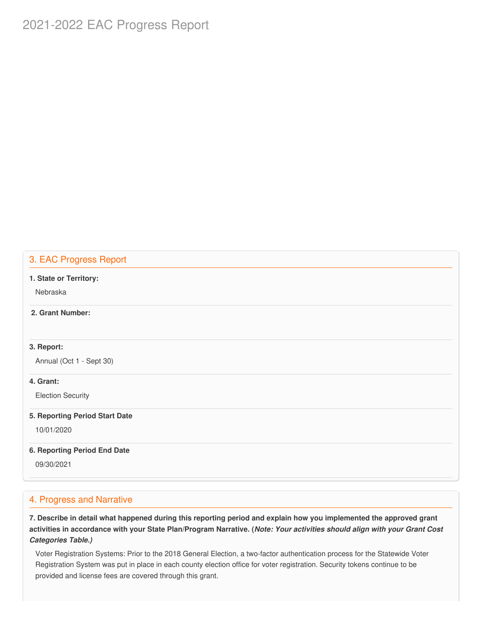# 2021-2022 EAC Progress Report

## 3. EAC Progress Report

#### **1. State or Territory:**

Nebraska

## **2. Grant Number:**

## **3. Report:**

Annual (Oct 1 - Sept 30)

## **4. Grant:**

Election Security

#### **5. Reporting Period Start Date**

10/01/2020

#### **6. Reporting Period End Date**

09/30/2021

## 4. Progress and Narrative

7. Describe in detail what happened during this reporting period and explain how you implemented the approved grant activities in accordance with your State Plan/Program Narrative. (*Note: Your activities should align with your Grant Cost Categories Table.)*

 Voter Registration Systems: Prior to the 2018 General Election, a two-factor authentication process for the Statewide Voter Registration System was put in place in each county election office for voter registration. Security tokens continue to be provided and license fees are covered through this grant.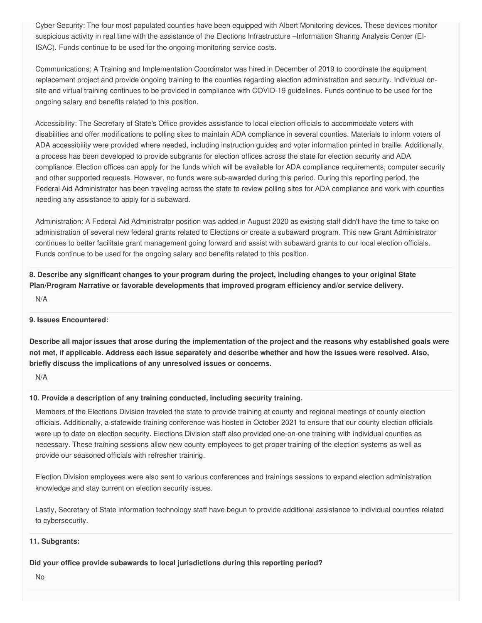Cyber Security: The four most populated counties have been equipped with Albert Monitoring devices. These devices monitor suspicious activity in real time with the assistance of the Elections Infrastructure –Information Sharing Analysis Center (EI-ISAC). Funds continue to be used for the ongoing monitoring service costs.

 Communications: A Training and Implementation Coordinator was hired in December of 2019 to coordinate the equipment replacement project and provide ongoing training to the counties regarding election administration and security. Individual on- site and virtual training continues to be provided in compliance with COVID-19 guidelines. Funds continue to be used for the ongoing salary and benefits related to this position.

 Accessibility: The Secretary of State's Office provides assistance to local election officials to accommodate voters with disabilities and offer modifications to polling sites to maintain ADA compliance in several counties. Materials to inform voters of ADA accessibility were provided where needed, including instruction guides and voter information printed in braille. Additionally, a process has been developed to provide subgrants for election offices across the state for election security and ADA compliance. Election offices can apply for the funds which will be available for ADA compliance requirements, computer security and other supported requests. However, no funds were sub-awarded during this period. During this reporting period, the Federal Aid Administrator has been traveling across the state to review polling sites for ADA compliance and work with counties needing any assistance to apply for a subaward.

 Administration: A Federal Aid Administrator position was added in August 2020 as existing staff didn't have the time to take on administration of several new federal grants related to Elections or create a subaward program. This new Grant Administrator continues to better facilitate grant management going forward and assist with subaward grants to our local election officials. Funds continue to be used for the ongoing salary and benefits related to this position.

8. Describe any significant changes to your program during the project, including changes to your original State  **Plan/Program Narrative or favorable developments that improved program efficiency and/or service delivery.**

N/A

## **9. Issues Encountered:**

Describe all major issues that arose during the implementation of the project and the reasons why established goals were not met, if applicable. Address each issue separately and describe whether and how the issues were resolved. Also,  **briefly discuss the implications of any unresolved issues or concerns.**

N/A

## **10. Provide a description of any training conducted, including security training.**

 Members of the Elections Division traveled the state to provide training at county and regional meetings of county election officials. Additionally, a statewide training conference was hosted in October 2021 to ensure that our county election officials were up to date on election security. Elections Division staff also provided one-on-one training with individual counties as necessary. These training sessions allow new county employees to get proper training of the election systems as well as provide our seasoned officials with refresher training.

 Election Division employees were also sent to various conferences and trainings sessions to expand election administration knowledge and stay current on election security issues.

 Lastly, Secretary of State information technology staff have begun to provide additional assistance to individual counties related to cybersecurity.

## **11. Subgrants:**

 **Did your office provide subawards to local jurisdictions during this reporting period?**

No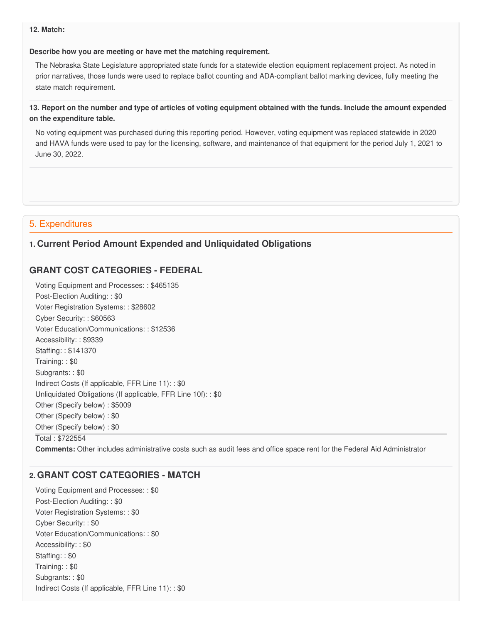#### **12. Match:**

#### **Describe how you are meeting or have met the matching requirement.**

 The Nebraska State Legislature appropriated state funds for a statewide election equipment replacement project. As noted in prior narratives, those funds were used to replace ballot counting and ADA-compliant ballot marking devices, fully meeting the state match requirement.

## 13. Report on the number and type of articles of voting equipment obtained with the funds. Include the amount expended  **on the expenditure table.**

 No voting equipment was purchased during this reporting period. However, voting equipment was replaced statewide in 2020 and HAVA funds were used to pay for the licensing, software, and maintenance of that equipment for the period July 1, 2021 to June 30, 2022.

## 5. Expenditures

## **1. Current Period Amount Expended and Unliquidated Obligations**

## **GRANT COST CATEGORIES - FEDERAL**

 Voting Equipment and Processes: : \$465135 Post-Election Auditing: : \$0 Voter Registration Systems: : \$28602 Cyber Security: : \$60563 Voter Education/Communications: : \$12536 Accessibility: : \$9339 Staffing: : \$141370 Training: : \$0 Subgrants: : \$0 Indirect Costs (If applicable, FFR Line 11): : \$0 Unliquidated Obligations (If applicable, FFR Line 10f): : \$0 Other (Specify below) : \$5009 Other (Specify below) : \$0 Other (Specify below) : \$0 Total : \$722554

**Comments:** Other includes administrative costs such as audit fees and office space rent for the Federal Aid Administrator

## **2. GRANT COST CATEGORIES - MATCH**

 Voting Equipment and Processes: : \$0 Post-Election Auditing: : \$0 Voter Registration Systems: : \$0 Cyber Security: : \$0 Voter Education/Communications: : \$0 Accessibility: : \$0 Staffing: : \$0 Training: : \$0 Subgrants: : \$0 Indirect Costs (If applicable, FFR Line 11): : \$0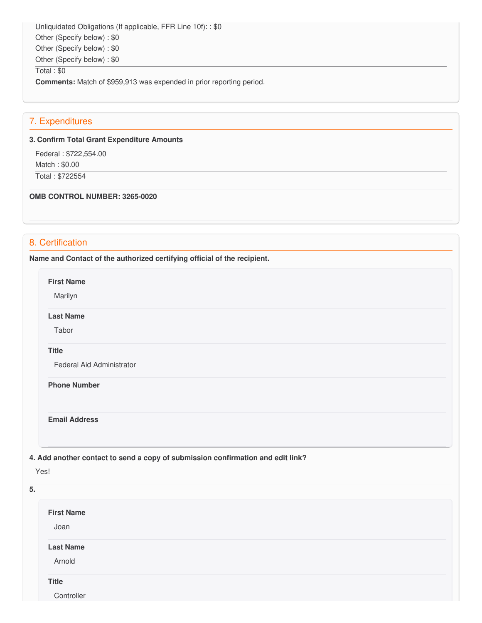Unliquidated Obligations (If applicable, FFR Line 10f): : \$0 Other (Specify below) : \$0 Other (Specify below) : \$0 Other (Specify below) : \$0

Total : \$0

**Comments:** Match of \$959,913 was expended in prior reporting period.

## 7. Expenditures

#### **3. Confirm Total Grant Expenditure Amounts**

 Federal : \$722,554.00 Match : \$0.00 Total : \$722554

#### **OMB CONTROL NUMBER: 3265-0020**

## 8. Certification

 **Name and Contact of the authorized certifying official of the recipient.**

**First Name**

Marilyn

**Last Name**

Tabor

#### **Title**

Federal Aid Administrator

 **Phone Number**

#### **Email Address**

## **4. Add another contact to send a copy of submission confirmation and edit link?**

Yes!

| 5.                |  |  |  |
|-------------------|--|--|--|
| <b>First Name</b> |  |  |  |
| Joan              |  |  |  |
| <b>Last Name</b>  |  |  |  |
| Arnold            |  |  |  |
| <b>Title</b>      |  |  |  |
| Controller        |  |  |  |